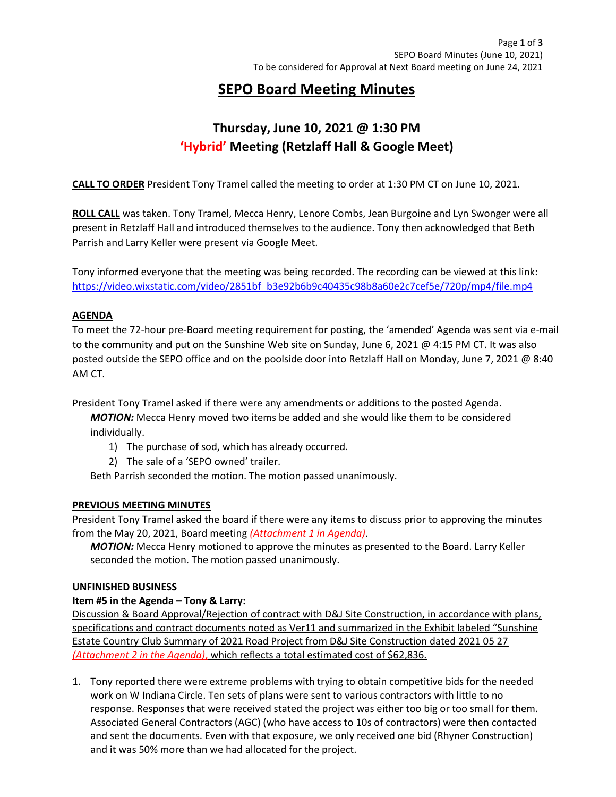# SEPO Board Meeting Minutes

# Thursday, June 10, 2021 @ 1:30 PM 'Hybrid' Meeting (Retzlaff Hall & Google Meet)

CALL TO ORDER President Tony Tramel called the meeting to order at 1:30 PM CT on June 10, 2021.

ROLL CALL was taken. Tony Tramel, Mecca Henry, Lenore Combs, Jean Burgoine and Lyn Swonger were all present in Retzlaff Hall and introduced themselves to the audience. Tony then acknowledged that Beth Parrish and Larry Keller were present via Google Meet.

Tony informed everyone that the meeting was being recorded. The recording can be viewed at this link: https://video.wixstatic.com/video/2851bf\_b3e92b6b9c40435c98b8a60e2c7cef5e/720p/mp4/file.mp4

## AGENDA

To meet the 72-hour pre-Board meeting requirement for posting, the 'amended' Agenda was sent via e-mail to the community and put on the Sunshine Web site on Sunday, June 6, 2021 @ 4:15 PM CT. It was also posted outside the SEPO office and on the poolside door into Retzlaff Hall on Monday, June 7, 2021 @ 8:40 AM CT.

President Tony Tramel asked if there were any amendments or additions to the posted Agenda.

**MOTION:** Mecca Henry moved two items be added and she would like them to be considered individually.

- 1) The purchase of sod, which has already occurred.
- 2) The sale of a 'SEPO owned' trailer.

Beth Parrish seconded the motion. The motion passed unanimously.

### PREVIOUS MEETING MINUTES

President Tony Tramel asked the board if there were any items to discuss prior to approving the minutes from the May 20, 2021, Board meeting (Attachment 1 in Agenda).

**MOTION:** Mecca Henry motioned to approve the minutes as presented to the Board. Larry Keller seconded the motion. The motion passed unanimously.

### UNFINISHED BUSINESS

## Item #5 in the Agenda – Tony & Larry:

Discussion & Board Approval/Rejection of contract with D&J Site Construction, in accordance with plans, specifications and contract documents noted as Ver11 and summarized in the Exhibit labeled "Sunshine Estate Country Club Summary of 2021 Road Project from D&J Site Construction dated 2021 05 27 (Attachment 2 in the Agenda), which reflects a total estimated cost of \$62,836.

1. Tony reported there were extreme problems with trying to obtain competitive bids for the needed work on W Indiana Circle. Ten sets of plans were sent to various contractors with little to no response. Responses that were received stated the project was either too big or too small for them. Associated General Contractors (AGC) (who have access to 10s of contractors) were then contacted and sent the documents. Even with that exposure, we only received one bid (Rhyner Construction) and it was 50% more than we had allocated for the project.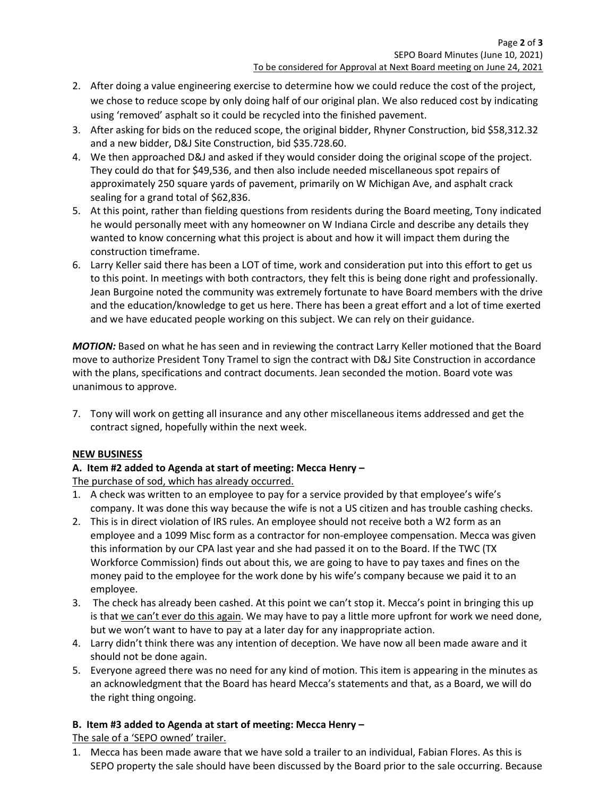- 2. After doing a value engineering exercise to determine how we could reduce the cost of the project, we chose to reduce scope by only doing half of our original plan. We also reduced cost by indicating using 'removed' asphalt so it could be recycled into the finished pavement.
- 3. After asking for bids on the reduced scope, the original bidder, Rhyner Construction, bid \$58,312.32 and a new bidder, D&J Site Construction, bid \$35.728.60.
- 4. We then approached D&J and asked if they would consider doing the original scope of the project. They could do that for \$49,536, and then also include needed miscellaneous spot repairs of approximately 250 square yards of pavement, primarily on W Michigan Ave, and asphalt crack sealing for a grand total of \$62,836.
- 5. At this point, rather than fielding questions from residents during the Board meeting, Tony indicated he would personally meet with any homeowner on W Indiana Circle and describe any details they wanted to know concerning what this project is about and how it will impact them during the construction timeframe.
- 6. Larry Keller said there has been a LOT of time, work and consideration put into this effort to get us to this point. In meetings with both contractors, they felt this is being done right and professionally. Jean Burgoine noted the community was extremely fortunate to have Board members with the drive and the education/knowledge to get us here. There has been a great effort and a lot of time exerted and we have educated people working on this subject. We can rely on their guidance.

MOTION: Based on what he has seen and in reviewing the contract Larry Keller motioned that the Board move to authorize President Tony Tramel to sign the contract with D&J Site Construction in accordance with the plans, specifications and contract documents. Jean seconded the motion. Board vote was unanimous to approve.

7. Tony will work on getting all insurance and any other miscellaneous items addressed and get the contract signed, hopefully within the next week.

## NEW BUSINESS

# A. Item #2 added to Agenda at start of meeting: Mecca Henry –

The purchase of sod, which has already occurred.

- 1. A check was written to an employee to pay for a service provided by that employee's wife's company. It was done this way because the wife is not a US citizen and has trouble cashing checks.
- 2. This is in direct violation of IRS rules. An employee should not receive both a W2 form as an employee and a 1099 Misc form as a contractor for non-employee compensation. Mecca was given this information by our CPA last year and she had passed it on to the Board. If the TWC (TX Workforce Commission) finds out about this, we are going to have to pay taxes and fines on the money paid to the employee for the work done by his wife's company because we paid it to an employee.
- 3. The check has already been cashed. At this point we can't stop it. Mecca's point in bringing this up is that we can't ever do this again. We may have to pay a little more upfront for work we need done, but we won't want to have to pay at a later day for any inappropriate action.
- 4. Larry didn't think there was any intention of deception. We have now all been made aware and it should not be done again.
- 5. Everyone agreed there was no need for any kind of motion. This item is appearing in the minutes as an acknowledgment that the Board has heard Mecca's statements and that, as a Board, we will do the right thing ongoing.

# B. Item #3 added to Agenda at start of meeting: Mecca Henry –

The sale of a 'SEPO owned' trailer.

1. Mecca has been made aware that we have sold a trailer to an individual, Fabian Flores. As this is SEPO property the sale should have been discussed by the Board prior to the sale occurring. Because